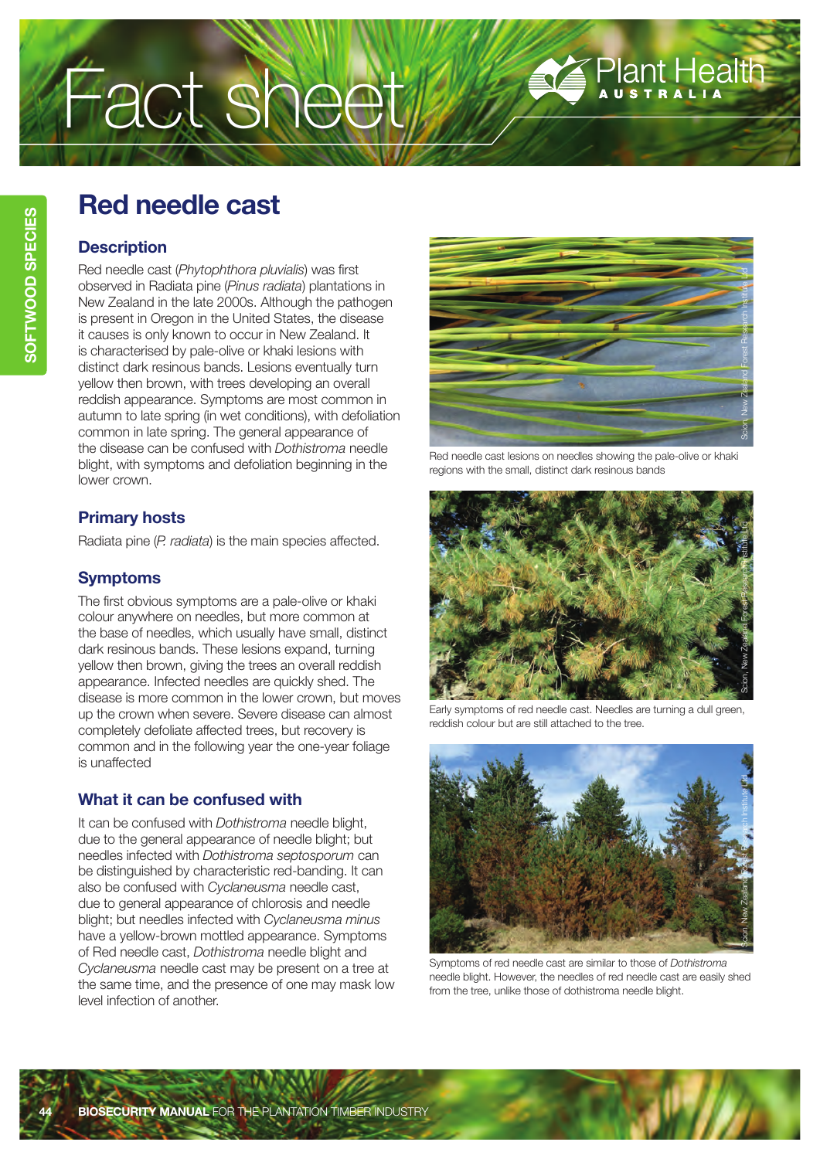# Fact sheet

# **Red needle cast**

### **Description**

Red needle cast (*Phytophthora pluvialis*) was first observed in Radiata pine (*Pinus radiata*) plantations in New Zealand in the late 2000s. Although the pathogen is present in Oregon in the United States, the disease it causes is only known to occur in New Zealand. It is characterised by pale-olive or khaki lesions with distinct dark resinous bands. Lesions eventually turn yellow then brown, with trees developing an overall reddish appearance. Symptoms are most common in autumn to late spring (in wet conditions), with defoliation common in late spring. The general appearance of the disease can be confused with *Dothistroma* needle blight, with symptoms and defoliation beginning in the lower crown.

# **Primary hosts**

Radiata pine (*P. radiata*) is the main species affected.

# **Symptoms**

The first obvious symptoms are a pale-olive or khaki colour anywhere on needles, but more common at the base of needles, which usually have small, distinct dark resinous bands. These lesions expand, turning yellow then brown, giving the trees an overall reddish appearance. Infected needles are quickly shed. The disease is more common in the lower crown, but moves up the crown when severe. Severe disease can almost completely defoliate affected trees, but recovery is common and in the following year the one-year foliage is unaffected

# **What it can be confused with**

It can be confused with *Dothistroma* needle blight, due to the general appearance of needle blight; but needles infected with *Dothistroma septosporum* can be distinguished by characteristic red-banding. It can also be confused with *Cyclaneusma* needle cast, due to general appearance of chlorosis and needle blight; but needles infected with *Cyclaneusma minus*  have a yellow-brown mottled appearance. Symptoms of Red needle cast, *Dothistroma* needle blight and *Cyclaneusma* needle cast may be present on a tree at the same time, and the presence of one may mask low level infection of another.



Plant Health

Red needle cast lesions on needles showing the pale-olive or khaki regions with the small, distinct dark resinous bands



Early symptoms of red needle cast. Needles are turning a dull green, reddish colour but are still attached to the tree.



Symptoms of red needle cast are similar to those of *Dothistroma*  needle blight. However, the needles of red needle cast are easily shed from the tree, unlike those of dothistroma needle blight.